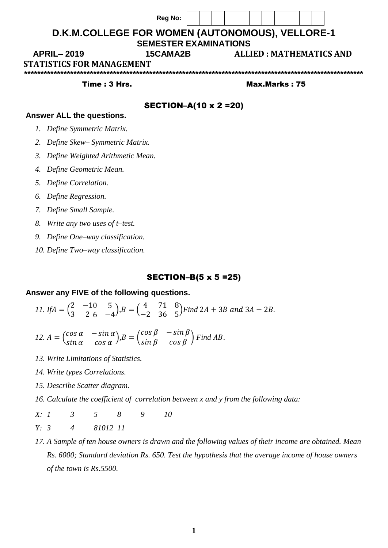|                                                 | <b>Reg No:</b>                |  |                                |  |  |               |  |  |  |  |  |
|-------------------------------------------------|-------------------------------|--|--------------------------------|--|--|---------------|--|--|--|--|--|
| D.K.M.COLLEGE FOR WOMEN (AUTONOMOUS), VELLORE-1 |                               |  |                                |  |  |               |  |  |  |  |  |
|                                                 | <b>SEMESTER EXAMINATIONS</b>  |  |                                |  |  |               |  |  |  |  |  |
| <b>APRIL-2019</b><br><b>15CAMA2B</b>            |                               |  | <b>ALLIED: MATHEMATICS AND</b> |  |  |               |  |  |  |  |  |
| <b>STATISTICS FOR MANAGEMENT</b>                |                               |  |                                |  |  |               |  |  |  |  |  |
|                                                 |                               |  |                                |  |  |               |  |  |  |  |  |
| Time: 3 Hrs.                                    |                               |  |                                |  |  | Max.Marks: 75 |  |  |  |  |  |
|                                                 | <b>SECTION-A(10 x 2 = 20)</b> |  |                                |  |  |               |  |  |  |  |  |
| Answer ALL the questions.                       |                               |  |                                |  |  |               |  |  |  |  |  |

- *2. Define Skew– Symmetric Matrix.*
- *3. Define Weighted Arithmetic Mean.*
- *4. Define Geometric Mean.*
- *5. Define Correlation.*
- *6. Define Regression.*
- *7. Define Small Sample.*
- *8. Write any two uses of t–test.*
- *9. Define One–way classification.*
- *10. Define Two–way classification.*

## SECTION–B(5 x 5 =25)

## **Answer any FIVE of the following questions.**

*11.* If  $A = \begin{pmatrix} 2 & -1 \\ 2 & 2 \end{pmatrix}$ 3 2 0 5  $\begin{pmatrix} 0 & 5 \\ 6 & -4 \end{pmatrix}$ ,  $B = \begin{pmatrix} 4 & 7 \\ -2 & 3 \end{pmatrix}$ −2 3 1 8  $^{1}_{6}$  <sup>o</sup><sub>5</sub>)Find 2A + 3B and 3A – 2B.

- 12.  $A = \begin{pmatrix} \cos \alpha & -\sin \alpha \\ \sin \alpha & \cos \alpha \end{pmatrix}$  $\cos\alpha$   $-\sin\alpha$ ), $B = \begin{pmatrix} \cos\beta & -\sin\beta \\ \sin\beta & \cos\beta \end{pmatrix}$  $\sin \beta$   $\cos \beta$   $\int$  *Find AB*.
- *13. Write Limitations of Statistics.*
- *14. Write types Correlations.*
- *15. Describe Scatter diagram.*
- *16. Calculate the coefficient of correlation between x and y from the following data:*
- *X: 1 3 5 8 9 10 Y: 3 4 81012 11*
- *17. A Sample of ten house owners is drawn and the following values of their income are obtained. Mean Rs. 6000; Standard deviation Rs. 650. Test the hypothesis that the average income of house owners of the town is Rs.5500.*